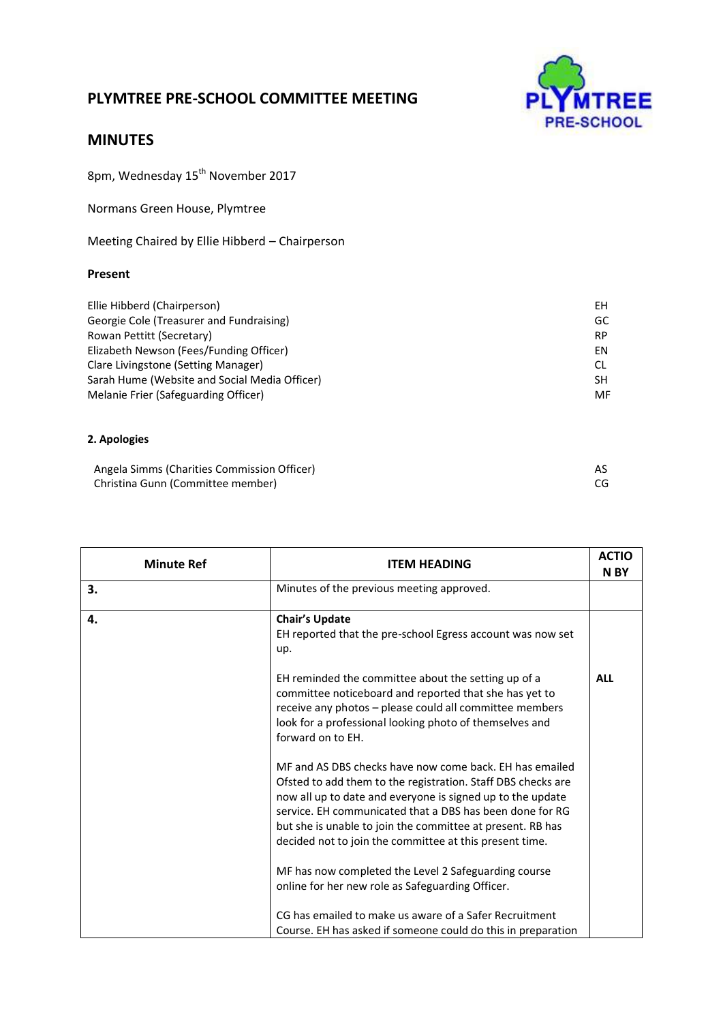## **PLYMTREE PRE-SCHOOL COMMITTEE MEETING**



## **MINUTES**

8pm, Wednesday 15<sup>th</sup> November 2017

Normans Green House, Plymtree

Meeting Chaired by Ellie Hibberd – Chairperson

## **Present**

| Ellie Hibberd (Chairperson)                   | ΕH        |
|-----------------------------------------------|-----------|
| Georgie Cole (Treasurer and Fundraising)      | GC        |
| Rowan Pettitt (Secretary)                     | <b>RP</b> |
| Elizabeth Newson (Fees/Funding Officer)       | FN        |
| Clare Livingstone (Setting Manager)           | CL.       |
| Sarah Hume (Website and Social Media Officer) | SH        |
| Melanie Frier (Safeguarding Officer)          | MF        |
|                                               |           |

## **2. Apologies**

| Angela Simms (Charities Commission Officer) |    |
|---------------------------------------------|----|
| Christina Gunn (Committee member)           | CG |

| <b>Minute Ref</b> | <b>ITEM HEADING</b>                                                                                                                                                                                                                                                                                                                                                        | <b>ACTIO</b><br>N BY |
|-------------------|----------------------------------------------------------------------------------------------------------------------------------------------------------------------------------------------------------------------------------------------------------------------------------------------------------------------------------------------------------------------------|----------------------|
| 3.                | Minutes of the previous meeting approved.                                                                                                                                                                                                                                                                                                                                  |                      |
| 4.                | <b>Chair's Update</b><br>EH reported that the pre-school Egress account was now set<br>up.                                                                                                                                                                                                                                                                                 |                      |
|                   | EH reminded the committee about the setting up of a<br>committee noticeboard and reported that she has yet to<br>receive any photos - please could all committee members<br>look for a professional looking photo of themselves and<br>forward on to EH.                                                                                                                   | <b>ALL</b>           |
|                   | MF and AS DBS checks have now come back. EH has emailed<br>Ofsted to add them to the registration. Staff DBS checks are<br>now all up to date and everyone is signed up to the update<br>service. EH communicated that a DBS has been done for RG<br>but she is unable to join the committee at present. RB has<br>decided not to join the committee at this present time. |                      |
|                   | MF has now completed the Level 2 Safeguarding course<br>online for her new role as Safeguarding Officer.<br>CG has emailed to make us aware of a Safer Recruitment<br>Course. EH has asked if someone could do this in preparation                                                                                                                                         |                      |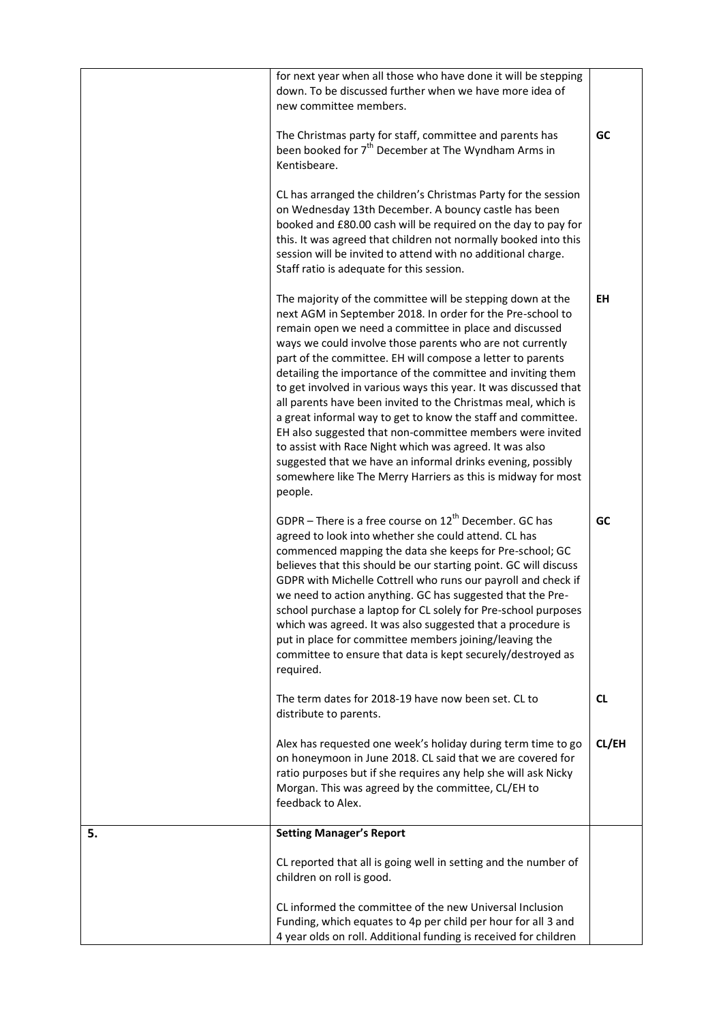|    | for next year when all those who have done it will be stepping                                                                                                                                                                                                                                                                                                                                                                                                                                                                                                                                                                                                                                                                                                                                                                                      |           |
|----|-----------------------------------------------------------------------------------------------------------------------------------------------------------------------------------------------------------------------------------------------------------------------------------------------------------------------------------------------------------------------------------------------------------------------------------------------------------------------------------------------------------------------------------------------------------------------------------------------------------------------------------------------------------------------------------------------------------------------------------------------------------------------------------------------------------------------------------------------------|-----------|
|    | down. To be discussed further when we have more idea of<br>new committee members.                                                                                                                                                                                                                                                                                                                                                                                                                                                                                                                                                                                                                                                                                                                                                                   |           |
|    | The Christmas party for staff, committee and parents has<br>been booked for 7 <sup>th</sup> December at The Wyndham Arms in<br>Kentisbeare.                                                                                                                                                                                                                                                                                                                                                                                                                                                                                                                                                                                                                                                                                                         | GC        |
|    | CL has arranged the children's Christmas Party for the session<br>on Wednesday 13th December. A bouncy castle has been<br>booked and £80.00 cash will be required on the day to pay for<br>this. It was agreed that children not normally booked into this<br>session will be invited to attend with no additional charge.<br>Staff ratio is adequate for this session.                                                                                                                                                                                                                                                                                                                                                                                                                                                                             |           |
|    | The majority of the committee will be stepping down at the<br>next AGM in September 2018. In order for the Pre-school to<br>remain open we need a committee in place and discussed<br>ways we could involve those parents who are not currently<br>part of the committee. EH will compose a letter to parents<br>detailing the importance of the committee and inviting them<br>to get involved in various ways this year. It was discussed that<br>all parents have been invited to the Christmas meal, which is<br>a great informal way to get to know the staff and committee.<br>EH also suggested that non-committee members were invited<br>to assist with Race Night which was agreed. It was also<br>suggested that we have an informal drinks evening, possibly<br>somewhere like The Merry Harriers as this is midway for most<br>people. | EH        |
|    | GDPR - There is a free course on $12^{th}$ December. GC has<br>agreed to look into whether she could attend. CL has<br>commenced mapping the data she keeps for Pre-school; GC<br>believes that this should be our starting point. GC will discuss<br>GDPR with Michelle Cottrell who runs our payroll and check if<br>we need to action anything. GC has suggested that the Pre-<br>school purchase a laptop for CL solely for Pre-school purposes<br>which was agreed. It was also suggested that a procedure is<br>put in place for committee members joining/leaving the<br>committee to ensure that data is kept securely/destroyed as<br>required.                                                                                                                                                                                            | GC        |
|    | The term dates for 2018-19 have now been set. CL to<br>distribute to parents.                                                                                                                                                                                                                                                                                                                                                                                                                                                                                                                                                                                                                                                                                                                                                                       | <b>CL</b> |
|    | Alex has requested one week's holiday during term time to go<br>on honeymoon in June 2018. CL said that we are covered for<br>ratio purposes but if she requires any help she will ask Nicky<br>Morgan. This was agreed by the committee, CL/EH to<br>feedback to Alex.                                                                                                                                                                                                                                                                                                                                                                                                                                                                                                                                                                             | CL/EH     |
| 5. | <b>Setting Manager's Report</b>                                                                                                                                                                                                                                                                                                                                                                                                                                                                                                                                                                                                                                                                                                                                                                                                                     |           |
|    | CL reported that all is going well in setting and the number of<br>children on roll is good.                                                                                                                                                                                                                                                                                                                                                                                                                                                                                                                                                                                                                                                                                                                                                        |           |
|    | CL informed the committee of the new Universal Inclusion<br>Funding, which equates to 4p per child per hour for all 3 and<br>4 year olds on roll. Additional funding is received for children                                                                                                                                                                                                                                                                                                                                                                                                                                                                                                                                                                                                                                                       |           |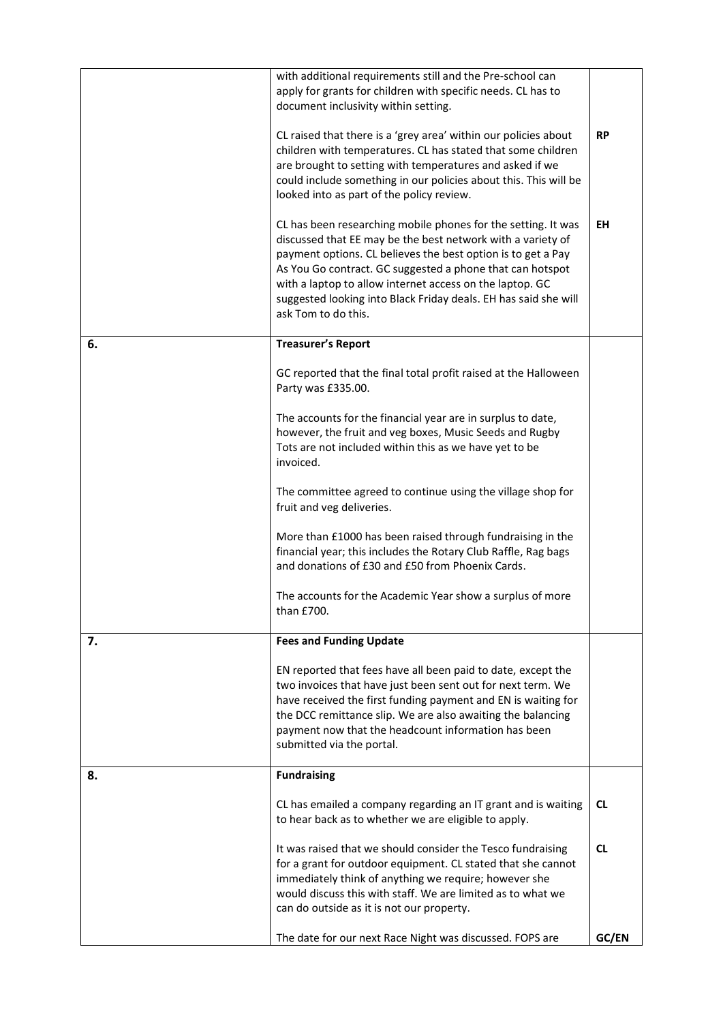|    | with additional requirements still and the Pre-school can<br>apply for grants for children with specific needs. CL has to<br>document inclusivity within setting.                                                                                                                                                                                                                                               |           |
|----|-----------------------------------------------------------------------------------------------------------------------------------------------------------------------------------------------------------------------------------------------------------------------------------------------------------------------------------------------------------------------------------------------------------------|-----------|
|    | CL raised that there is a 'grey area' within our policies about<br>children with temperatures. CL has stated that some children<br>are brought to setting with temperatures and asked if we<br>could include something in our policies about this. This will be<br>looked into as part of the policy review.                                                                                                    | <b>RP</b> |
|    | CL has been researching mobile phones for the setting. It was<br>discussed that EE may be the best network with a variety of<br>payment options. CL believes the best option is to get a Pay<br>As You Go contract. GC suggested a phone that can hotspot<br>with a laptop to allow internet access on the laptop. GC<br>suggested looking into Black Friday deals. EH has said she will<br>ask Tom to do this. | <b>EH</b> |
| 6. | <b>Treasurer's Report</b>                                                                                                                                                                                                                                                                                                                                                                                       |           |
|    | GC reported that the final total profit raised at the Halloween<br>Party was £335.00.                                                                                                                                                                                                                                                                                                                           |           |
|    | The accounts for the financial year are in surplus to date,<br>however, the fruit and veg boxes, Music Seeds and Rugby<br>Tots are not included within this as we have yet to be<br>invoiced.                                                                                                                                                                                                                   |           |
|    | The committee agreed to continue using the village shop for<br>fruit and veg deliveries.                                                                                                                                                                                                                                                                                                                        |           |
|    | More than £1000 has been raised through fundraising in the<br>financial year; this includes the Rotary Club Raffle, Rag bags<br>and donations of £30 and £50 from Phoenix Cards.                                                                                                                                                                                                                                |           |
|    | The accounts for the Academic Year show a surplus of more<br>than £700.                                                                                                                                                                                                                                                                                                                                         |           |
| 7. | <b>Fees and Funding Update</b>                                                                                                                                                                                                                                                                                                                                                                                  |           |
|    | EN reported that fees have all been paid to date, except the<br>two invoices that have just been sent out for next term. We<br>have received the first funding payment and EN is waiting for<br>the DCC remittance slip. We are also awaiting the balancing<br>payment now that the headcount information has been<br>submitted via the portal.                                                                 |           |
| 8. | <b>Fundraising</b>                                                                                                                                                                                                                                                                                                                                                                                              |           |
|    | CL has emailed a company regarding an IT grant and is waiting<br>to hear back as to whether we are eligible to apply.                                                                                                                                                                                                                                                                                           | <b>CL</b> |
|    | It was raised that we should consider the Tesco fundraising<br>for a grant for outdoor equipment. CL stated that she cannot<br>immediately think of anything we require; however she<br>would discuss this with staff. We are limited as to what we<br>can do outside as it is not our property.                                                                                                                | <b>CL</b> |
|    | The date for our next Race Night was discussed. FOPS are                                                                                                                                                                                                                                                                                                                                                        | GC/EN     |